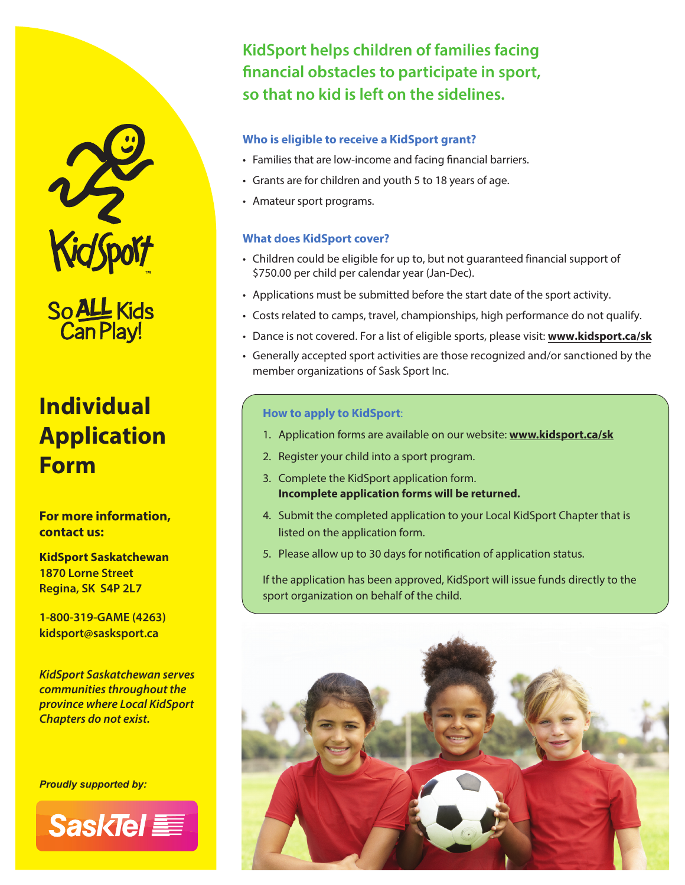

So ALL Kids<br>Can Play!

# **Individual Application Form**

**For more information, contact us:**

**KidSport Saskatchewan 1870 Lorne Street Regina, SK S4P 2L7**

**1-800-319-GAME (4263) kidsport@sasksport.ca**

*KidSport Saskatchewan serves communities throughout the province where Local KidSport Chapters do not exist.*

*Proudly supported by:*



**KidSport helps children of families facing**  financial obstacles to participate in sport, **so that no kid is left on the sidelines.**

#### **Who is eligible to receive a KidSport grant?**

- Families that are low-income and facing financial barriers.
- Grants are for children and youth 5 to 18 years of age.
- Amateur sport programs.

#### **What does KidSport cover?**

- Children could be eligible for up to, but not guaranteed financial support of \$750.00 per child per calendar year (Jan-Dec).
- Applications must be submitted before the start date of the sport activity.
- Costs related to camps, travel, championships, high performance do not qualify.
- Dance is not covered. For a list of eligible sports, please visit: **www.kidsport.ca/sk**
- Generally accepted sport activities are those recognized and/or sanctioned by the member organizations of Sask Sport Inc.

#### **How to apply to KidSport**:

- 1. Application forms are available on our website: **www.kidsport.ca/sk**
- 2. Register your child into a sport program.
- 3. Complete the KidSport application form. **Incomplete application forms will be returned.**
- 4. Submit the completed application to your Local KidSport Chapter that is listed on the application form.
- 5. Please allow up to 30 days for notification of application status.

If the application has been approved, KidSport will issue funds directly to the sport organization on behalf of the child.